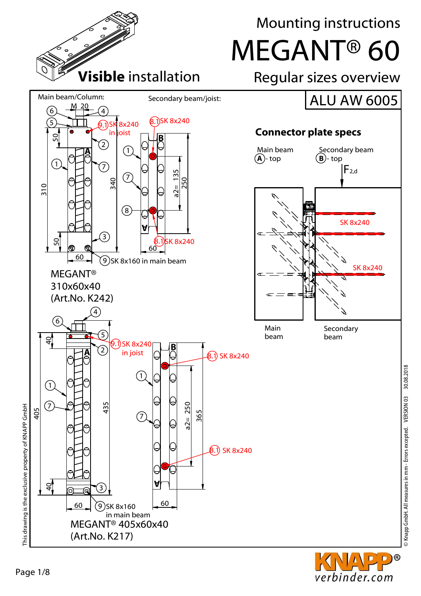

© Knapp GmbH. All measures in mm - Errors excepted. VERSION 03 30.08.2018

verbinder.com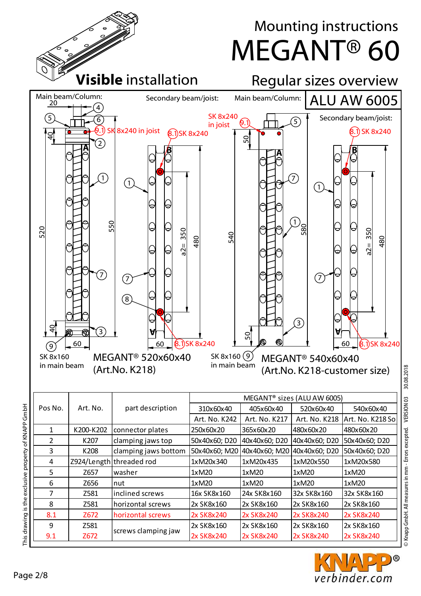

2x SK8x240

2x SK8x240

2x SK8x240

© Knapp GmbH. All measures in mm - Errors excepted. VERSION 03 30.08.2018 © Knapp GmbH. All measures in mm - Errors excepted. VERSION 03 30.08.2018



2x SK8x240

This drawing is the exclusive property of KNAPP GmbH

9.1

Z672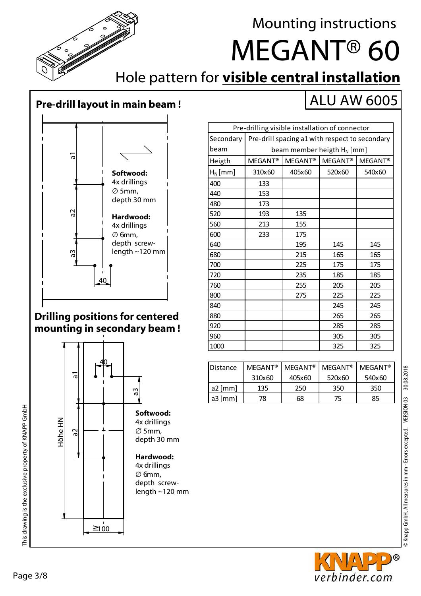This drawing is the exclusive property of KNAPP GmbH

This drawing is the exclusive property of KNAPP GmbH

### ALU AW 6005



840 245 245 880 265 265 920 285 285 960 | | | 305 | 305 1000 | | 325 | 325

Distance | MEGANT® | MEGANT® | MEGANT® | MEGANT®

a2 [mm] 135 250 350 350 a3 [mm] | 78 | 68 | 75 | 85

310x60 405x60 520x60 540x60

### **Drilling positions for centered mounting in secondary beam !**

### a1 a2 Höhe HN  $\geq 100$ a3 <u>40</u> **Softwood:** ∅ 5mm, **Hardwood:** 4x drillings ∅ 6mm,

4x drillings depth 30 mm

depth screwlength ~120 mm





# **Pre-drill layout in main beam !**



## Hole pattern for **visible central installation**

MEGANT® 60

Mounting instructions

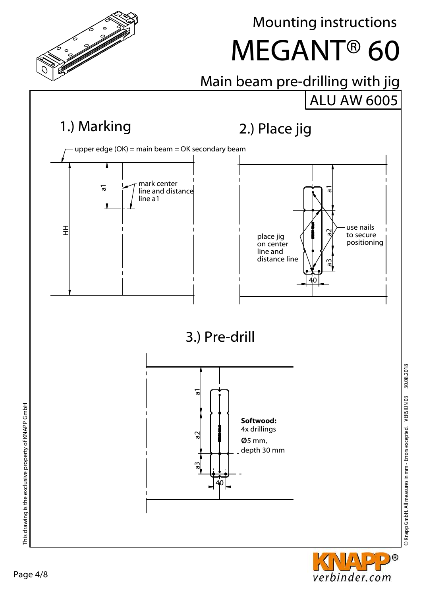



© Knapp GmbH. All measures in mm - Errors excepted. VERSION 03 30.08.2018<br>©

S Knapp GmbH. All measures in mm - Errors excepted. VERSION 03 30.08.2018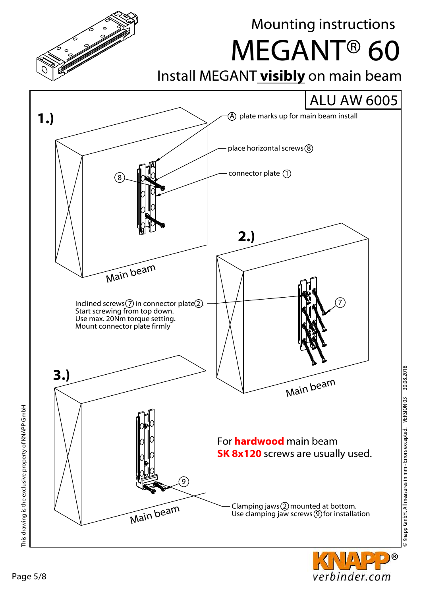

D)®

verbinder.com

This drawing is the exclusive property of KNAPP GmbH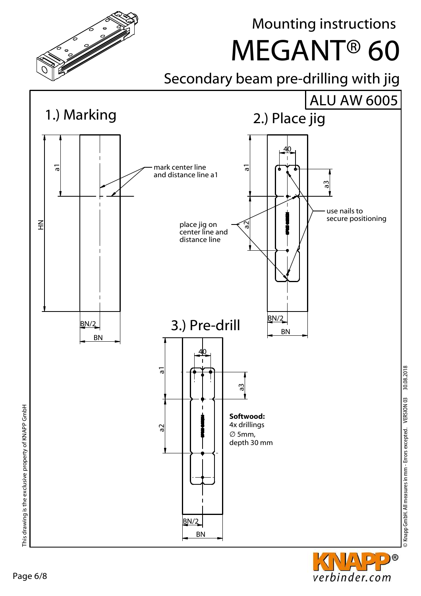

Page 6/8

D)®

verbinder.com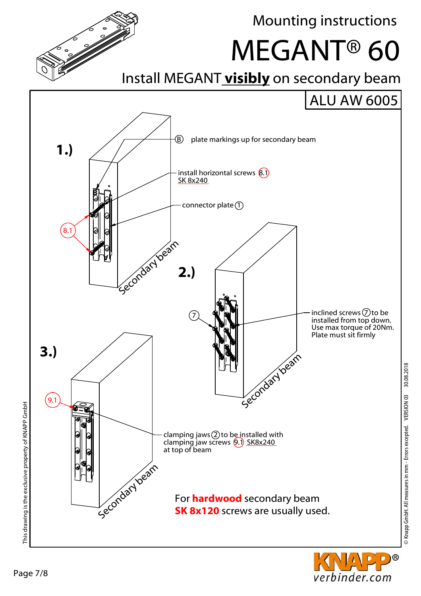



© Knapp GmbH. All measures in mm - Errors excepted. VERSION 03 30.08.2018<br>©

© Knapp GmbH. All measures in mm - Errors excepted. VERSION 03 30.08.2018

Mounting instructions